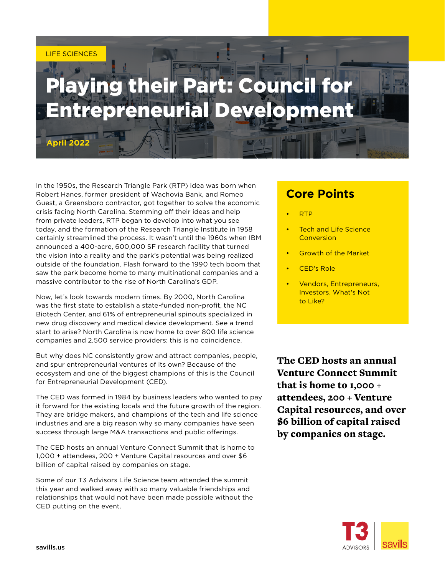## Playing their Part: Council for Entrepreneurial Development

In the 1950s, the Research Triangle Park (RTP) idea was born when Robert Hanes, former president of Wachovia Bank, and Romeo Guest, a Greensboro contractor, got together to solve the economic crisis facing North Carolina. Stemming off their ideas and help from private leaders, RTP began to develop into what you see today, and the formation of the Research Triangle Institute in 1958 certainly streamlined the process. It wasn't until the 1960s when IBM announced a 400-acre, 600,000 SF research facility that turned the vision into a reality and the park's potential was being realized outside of the foundation. Flash forward to the 1990 tech boom that saw the park become home to many multinational companies and a massive contributor to the rise of North Carolina's GDP.

LIFE SCIENCES

**April 2022**

Now, let's look towards modern times. By 2000, North Carolina was the first state to establish a state-funded non-profit, the NC Biotech Center, and 61% of entrepreneurial spinouts specialized in new drug discovery and medical device development. See a trend start to arise? North Carolina is now home to over 800 life science companies and 2,500 service providers; this is no coincidence.

But why does NC consistently grow and attract companies, people, and spur entrepreneurial ventures of its own? Because of the ecosystem and one of the biggest champions of this is the Council for Entrepreneurial Development (CED).

The CED was formed in 1984 by business leaders who wanted to pay it forward for the existing locals and the future growth of the region. They are bridge makers, and champions of the tech and life science industries and are a big reason why so many companies have seen success through large M&A transactions and public offerings.

The CED hosts an annual Venture Connect Summit that is home to 1,000 + attendees, 200 + Venture Capital resources and over \$6 billion of capital raised by companies on stage.

Some of our T3 Advisors Life Science team attended the summit this year and walked away with so many valuable friendships and relationships that would not have been made possible without the CED putting on the event.

## **Core Points**

- RTP
- **Tech and Life Science Conversion**
- Growth of the Market
- CED's Role
- Vendors, Entrepreneurs, Investors, What's Not to Like?

The CED hosts an annual Venture Connect Summit that is home to 1,000 + attendees, 200 + Venture Capital resources, and over \$6 billion of capital raised by companies on stage.